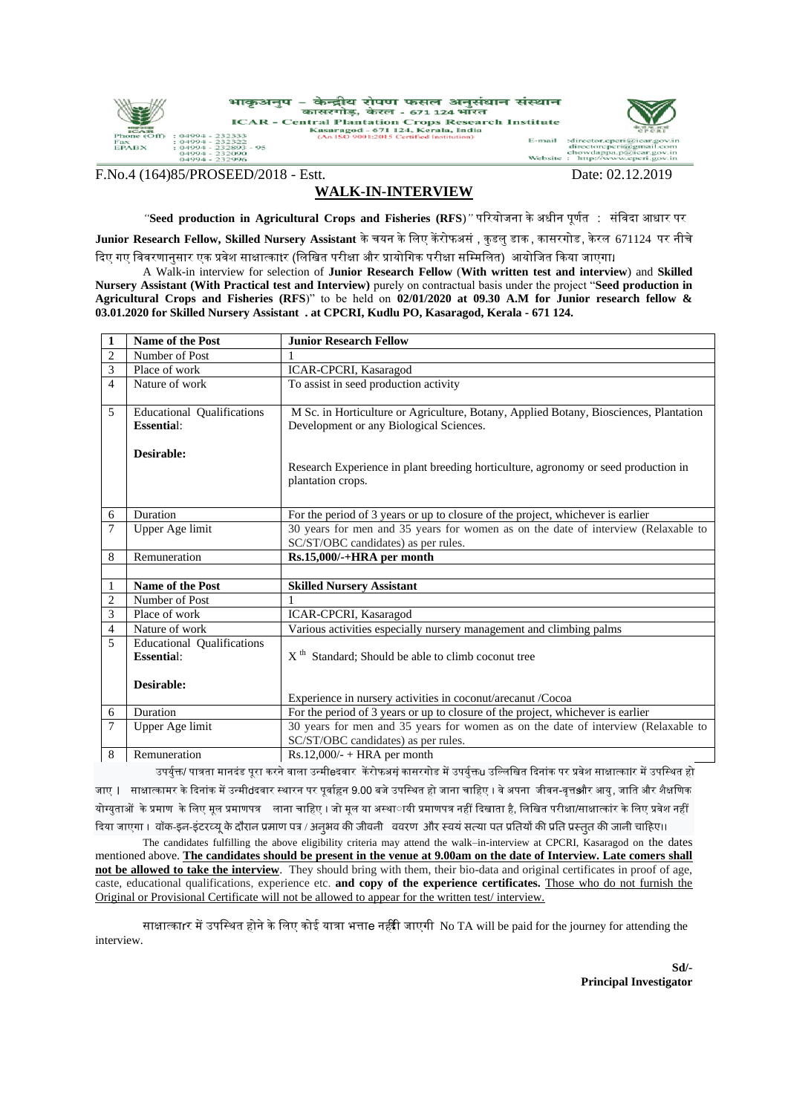

F.No.4 (164)85/PROSEED/2018 - Estt. Date: 02.12.2019

## **WALK-IN-INTERVIEW**

*"***Seed production in Agricultural Crops and Fisheries (RFS**)*"* पररयोजना के अधीन पूर्णत : संविदा आधार पर

**Junior Research Fellow, Skilled Nursery Assistant** के चयन के लिए केंरोफअसं , कुडलु डाक , कासरगोड , केरल 671124 पर नीचे दिए गए विवरणानुसार एक प्रवेश साक्षात्काtर (लिखित परीक्षा और प्रायोगिक परीक्षा सम्मिलित) आयोजित किया जाएगा।

A Walk-in interview for selection of **Junior Research Fellow** (**With written test and interview**) and **Skilled Nursery Assistant (With Practical test and Interview)** purely on contractual basis under the project "**Seed production in Agricultural Crops and Fisheries (RFS**)" to be held on **02/01/2020 at 09.30 A.M for Junior research fellow & 03.01.2020 for Skilled Nursery Assistant . at CPCRI, Kudlu PO, Kasaragod, Kerala - 671 124.**

| 1                        | Name of the Post                  | <b>Junior Research Fellow</b>                                                                               |
|--------------------------|-----------------------------------|-------------------------------------------------------------------------------------------------------------|
| $\overline{c}$           | Number of Post                    |                                                                                                             |
| 3                        | Place of work                     | ICAR-CPCRI, Kasaragod                                                                                       |
| $\overline{\mathcal{L}}$ | Nature of work                    | To assist in seed production activity                                                                       |
|                          |                                   |                                                                                                             |
| 5                        | <b>Educational Qualifications</b> | M Sc. in Horticulture or Agriculture, Botany, Applied Botany, Biosciences, Plantation                       |
|                          | <b>Essential:</b>                 | Development or any Biological Sciences.                                                                     |
|                          | Desirable:                        |                                                                                                             |
|                          |                                   | Research Experience in plant breeding horticulture, agronomy or seed production in                          |
|                          |                                   | plantation crops.                                                                                           |
|                          |                                   |                                                                                                             |
| 6                        | Duration                          | For the period of 3 years or up to closure of the project, whichever is earlier                             |
| 7                        | Upper Age limit                   | 30 years for men and 35 years for women as on the date of interview (Relaxable to                           |
|                          |                                   | SC/ST/OBC candidates) as per rules.                                                                         |
| 8                        | Remuneration                      | Rs.15,000/-+HRA per month                                                                                   |
|                          |                                   |                                                                                                             |
| 1                        | <b>Name of the Post</b>           | <b>Skilled Nursery Assistant</b>                                                                            |
| $\overline{c}$           | Number of Post                    |                                                                                                             |
| 3                        | Place of work                     | ICAR-CPCRI, Kasaragod                                                                                       |
| $\overline{4}$           | Nature of work                    | Various activities especially nursery management and climbing palms                                         |
| 5                        | <b>Educational Qualifications</b> |                                                                                                             |
|                          | <b>Essential:</b>                 | $Xth$ Standard; Should be able to climb coconut tree                                                        |
|                          |                                   |                                                                                                             |
|                          | Desirable:                        |                                                                                                             |
|                          |                                   | Experience in nursery activities in coconut/arecanut /Cocoa                                                 |
| 6                        | Duration                          | For the period of 3 years or up to closure of the project, whichever is earlier                             |
| 7                        | Upper Age limit                   | 30 years for men and 35 years for women as on the date of interview (Relaxable to                           |
|                          |                                   | SC/ST/OBC candidates) as per rules.                                                                         |
| 8                        | Remuneration                      | $Rs.12,000/ - + HRA$ per month<br>$\sim$ 0 $\sim$ $\sim$ $\sim$ $\sim$ 0 0 0 $\sim$<br>$\sim$ $\sim$ $\sim$ |

उपर्युक्त/ पात्रता मानदंड पूरा करने वाला उन्मीeदवार केंरोफअसं कासरगोड में उपर्युक्तu उल्लिखित दिनांक पर प्रवेश साक्षात्काlर में उपस्थित हो जाए **। साक्षात्कामर के दिनांक में उन्मी**dदवार स्थारन पर पूर्वाहृन 9.00 बजे उपस्थित हो जाना चाहिए । वे अपना जीवन-वृत्तऔर आयु , जाति और शैक्षणिक योग्युताओं के प्रमाण के लिए मूल प्रमाणपत्र लाना चाहिए । जो मूल या अस्थाायी प्रमाणपत्र नहीं दिखाता है, लिखित परीक्षा/साक्षात्कांर के लिए प्रवेश नहीं दिया जाएगा । वॉक-इन-इंटरव्यू के दौरान प्रमाण पत्र / अनुभव की जीवनी ववरण और स्वयं सत्या पत प्रतियों की प्रति प्रस्तुत की जानी चाहिए।।

The candidates fulfilling the above eligibility criteria may attend the walk–in-interview at CPCRI, Kasaragod on the dates mentioned above. The candidates should be present in the venue at 9.00am on the date of Interview. Late comers shall **not be allowed to take the interview**. They should bring with them, their bio-data and original certificates in proof of age, caste, educational qualifications, experience etc. **and copy of the experience certificates.** Those who do not furnish the Original or Provisional Certificate will not be allowed to appear for the written test/ interview.

साक्षात्काrर में उपस्थित होने के लिए कोई यात्रा भत्ताe नहीं जाएगी No TA will be paid for the journey for attending the interview.